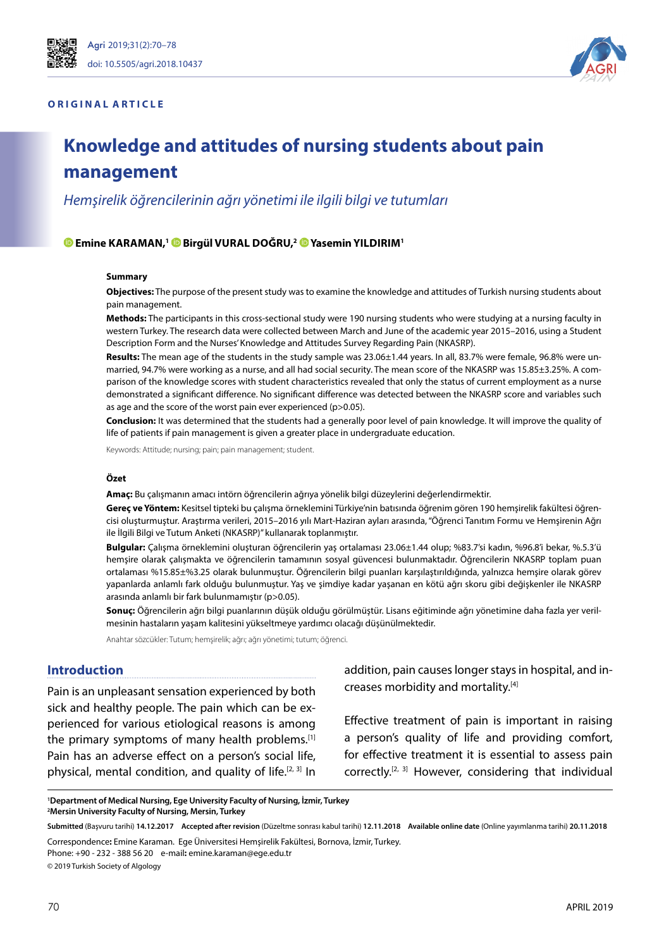#### **ORIGINAL ARTICLE**



# **Knowledge and attitudes of nursing students about pain management**

*Hemşirelik öğrencilerinin ağrı yönetimi ile ilgili bilgi ve tutumları*

#### **Emine KARAMAN, [1 B](https://orcid.org/0000-0002-3546-9656)irgül VURAL DOĞRU, [2 Y](https://orcid.org/0000-0003-0978-6743)asemin YILDIRIM1**

#### **Summary**

**Objectives:** The purpose of the present study was to examine the knowledge and attitudes of Turkish nursing students about pain management.

**Methods:** The participants in this cross-sectional study were 190 nursing students who were studying at a nursing faculty in western Turkey. The research data were collected between March and June of the academic year 2015–2016, using a Student Description Form and the Nurses' Knowledge and Attitudes Survey Regarding Pain (NKASRP).

**Results:** The mean age of the students in the study sample was 23.06±1.44 years. In all, 83.7% were female, 96.8% were unmarried, 94.7% were working as a nurse, and all had social security. The mean score of the NKASRP was 15.85±3.25%. A comparison of the knowledge scores with student characteristics revealed that only the status of current employment as a nurse demonstrated a significant difference. No significant difference was detected between the NKASRP score and variables such as age and the score of the worst pain ever experienced (p>0.05).

**Conclusion:** It was determined that the students had a generally poor level of pain knowledge. It will improve the quality of life of patients if pain management is given a greater place in undergraduate education.

Keywords: Attitude; nursing; pain; pain management; student.

#### **Özet**

**Amaç:** Bu çalışmanın amacı intörn öğrencilerin ağrıya yönelik bilgi düzeylerini değerlendirmektir.

**Gereç ve Yöntem:** Kesitsel tipteki bu çalışma örneklemini Türkiye'nin batısında öğrenim gören 190 hemşirelik fakültesi öğrencisi oluşturmuştur. Araştırma verileri, 2015–2016 yılı Mart-Haziran ayları arasında, "Öğrenci Tanıtım Formu ve Hemşirenin Ağrı ile İlgili Bilgi ve Tutum Anketi (NKASRP)" kullanarak toplanmıştır.

**Bulgular:** Çalışma örneklemini oluşturan öğrencilerin yaş ortalaması 23.06±1.44 olup; %83.7'si kadın, %96.8'i bekar, %.5.3'ü hemşire olarak çalışmakta ve öğrencilerin tamamının sosyal güvencesi bulunmaktadır. Öğrencilerin NKASRP toplam puan ortalaması %15.85±%3.25 olarak bulunmuştur. Öğrencilerin bilgi puanları karşılaştırıldığında, yalnızca hemşire olarak görev yapanlarda anlamlı fark olduğu bulunmuştur. Yaş ve şimdiye kadar yaşanan en kötü ağrı skoru gibi değişkenler ile NKASRP arasında anlamlı bir fark bulunmamıştır (p>0.05).

Sonuç: Öğrencilerin ağrı bilgi puanlarının düşük olduğu görülmüştür. Lisans eğitiminde ağrı yönetimine daha fazla yer verilmesinin hastaların yaşam kalitesini yükseltmeye yardımcı olacağı düşünülmektedir.

Anahtar sözcükler: Tutum; hemşirelik; ağrı; ağrı yönetimi; tutum; öğrenci.

#### **Introduction**

Pain is an unpleasant sensation experienced by both sick and healthy people. The pain which can be experienced for various etiological reasons is among the primary symptoms of many health problems.[1] Pain has an adverse effect on a person's social life, physical, mental condition, and quality of life.<sup>[2, 3]</sup> In addition, pain causes longer stays in hospital, and increases morbidity and mortality.[4]

Effective treatment of pain is important in raising a person's quality of life and providing comfort, for effective treatment it is essential to assess pain correctly.[2, 3] However, considering that individual

**1 Department of Medical Nursing, Ege University Faculty of Nursing, İzmir, Turkey 2 Mersin University Faculty of Nursing, Mersin, Turkey**

**Submitted** (Başvuru tarihi) **14.12.2017 Accepted after revision** (Düzeltme sonrası kabul tarihi) **12.11.2018 Available online date** (Online yayımlanma tarihi) **20.11.2018**

Correspondence**:** Emine Karaman. Ege Üniversitesi Hemşirelik Fakültesi, Bornova, İzmir, Turkey. Phone: +90 - 232 - 388 56 20 e-mail**:** emine.karaman@ege.edu.tr

© 2019 Turkish Society of Algology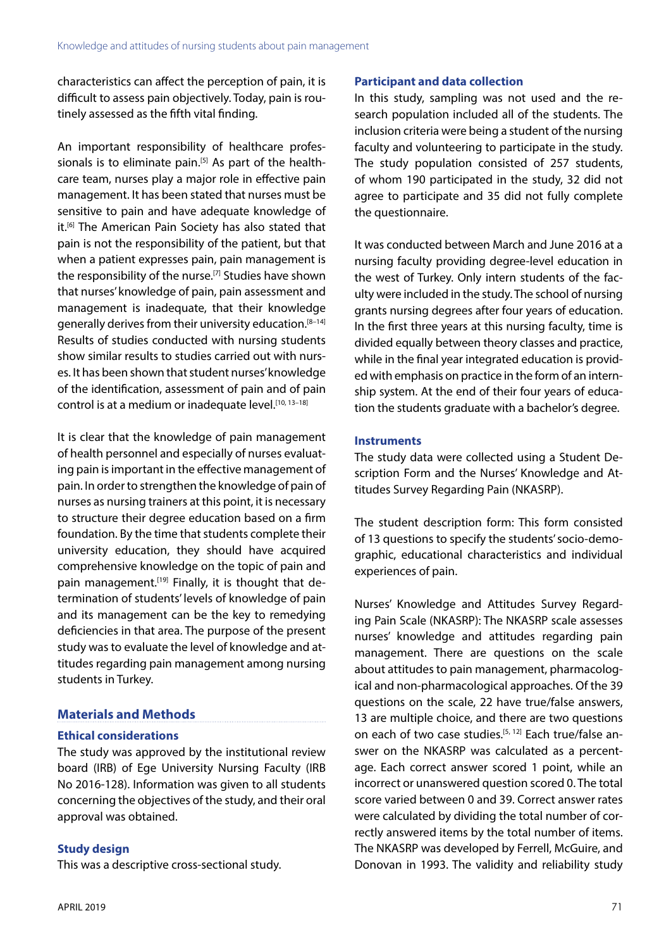characteristics can affect the perception of pain, it is difficult to assess pain objectively. Today, pain is routinely assessed as the fifth vital finding.

An important responsibility of healthcare professionals is to eliminate pain.<sup>[5]</sup> As part of the healthcare team, nurses play a major role in effective pain management. It has been stated that nurses must be sensitive to pain and have adequate knowledge of it.<sup>[6]</sup> The American Pain Society has also stated that pain is not the responsibility of the patient, but that when a patient expresses pain, pain management is the responsibility of the nurse.<sup>[7]</sup> Studies have shown that nurses' knowledge of pain, pain assessment and management is inadequate, that their knowledge generally derives from their university education.<sup>[8-14]</sup> Results of studies conducted with nursing students show similar results to studies carried out with nurses. It has been shown that student nurses' knowledge of the identification, assessment of pain and of pain control is at a medium or inadequate level.<sup>[10, 13-18]</sup>

It is clear that the knowledge of pain management of health personnel and especially of nurses evaluating pain is important in the effective management of pain. In order to strengthen the knowledge of pain of nurses as nursing trainers at this point, it is necessary to structure their degree education based on a firm foundation. By the time that students complete their university education, they should have acquired comprehensive knowledge on the topic of pain and pain management.<sup>[19]</sup> Finally, it is thought that determination of students' levels of knowledge of pain and its management can be the key to remedying deficiencies in that area. The purpose of the present study was to evaluate the level of knowledge and attitudes regarding pain management among nursing students in Turkey.

# **Materials and Methods**

## **Ethical considerations**

The study was approved by the institutional review board (IRB) of Ege University Nursing Faculty (IRB No 2016-128). Information was given to all students concerning the objectives of the study, and their oral approval was obtained.

## **Study design**

This was a descriptive cross-sectional study.

## **Participant and data collection**

In this study, sampling was not used and the research population included all of the students. The inclusion criteria were being a student of the nursing faculty and volunteering to participate in the study. The study population consisted of 257 students, of whom 190 participated in the study, 32 did not agree to participate and 35 did not fully complete the questionnaire.

It was conducted between March and June 2016 at a nursing faculty providing degree-level education in the west of Turkey. Only intern students of the faculty were included in the study. The school of nursing grants nursing degrees after four years of education. In the first three years at this nursing faculty, time is divided equally between theory classes and practice, while in the final year integrated education is provided with emphasis on practice in the form of an internship system. At the end of their four years of education the students graduate with a bachelor's degree.

## **Instruments**

The study data were collected using a Student Description Form and the Nurses' Knowledge and Attitudes Survey Regarding Pain (NKASRP).

The student description form: This form consisted of 13 questions to specify the students' socio-demographic, educational characteristics and individual experiences of pain.

Nurses' Knowledge and Attitudes Survey Regarding Pain Scale (NKASRP): The NKASRP scale assesses nurses' knowledge and attitudes regarding pain management. There are questions on the scale about attitudes to pain management, pharmacological and non-pharmacological approaches. Of the 39 questions on the scale, 22 have true/false answers, 13 are multiple choice, and there are two questions on each of two case studies.<sup>[5, 12]</sup> Each true/false answer on the NKASRP was calculated as a percentage. Each correct answer scored 1 point, while an incorrect or unanswered question scored 0. The total score varied between 0 and 39. Correct answer rates were calculated by dividing the total number of correctly answered items by the total number of items. The NKASRP was developed by Ferrell, McGuire, and Donovan in 1993. The validity and reliability study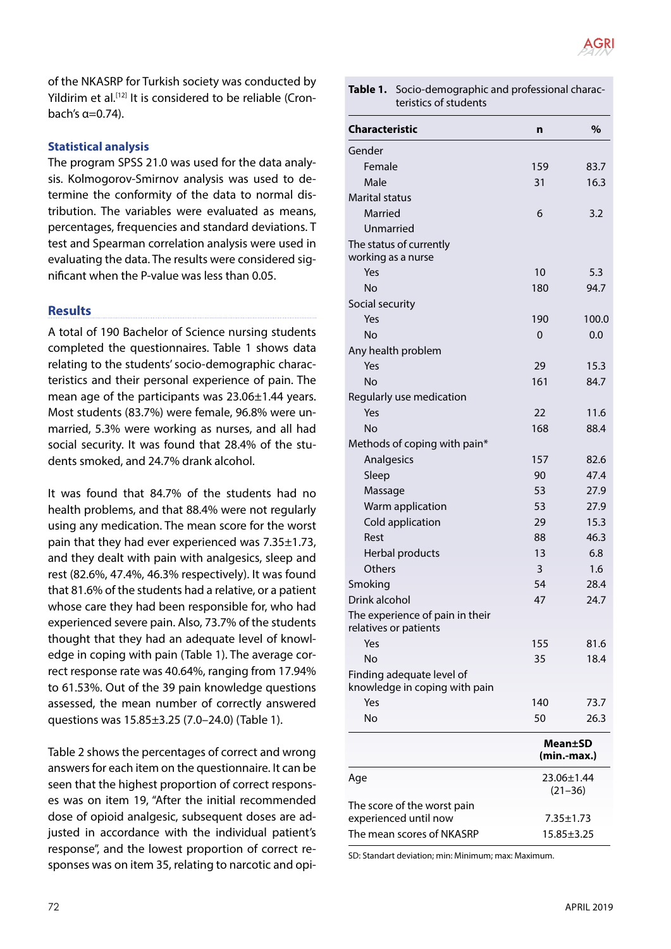

of the NKASRP for Turkish society was conducted by Yildirim et al.<sup>[12]</sup> It is considered to be reliable (Cronbach's  $\alpha = 0.74$ ).

### **Statistical analysis**

The program SPSS 21.0 was used for the data analysis. Kolmogorov-Smirnov analysis was used to determine the conformity of the data to normal distribution. The variables were evaluated as means, percentages, frequencies and standard deviations. T test and Spearman correlation analysis were used in evaluating the data. The results were considered significant when the P-value was less than 0.05.

## **Results**

A total of 190 Bachelor of Science nursing students completed the questionnaires. Table 1 shows data relating to the students' socio-demographic characteristics and their personal experience of pain. The mean age of the participants was 23.06±1.44 years. Most students (83.7%) were female, 96.8% were unmarried, 5.3% were working as nurses, and all had social security. It was found that 28.4% of the students smoked, and 24.7% drank alcohol.

It was found that 84.7% of the students had no health problems, and that 88.4% were not regularly using any medication. The mean score for the worst pain that they had ever experienced was 7.35±1.73, and they dealt with pain with analgesics, sleep and rest (82.6%, 47.4%, 46.3% respectively). It was found that 81.6% of the students had a relative, or a patient whose care they had been responsible for, who had experienced severe pain. Also, 73.7% of the students thought that they had an adequate level of knowledge in coping with pain (Table 1). The average correct response rate was 40.64%, ranging from 17.94% to 61.53%. Out of the 39 pain knowledge questions assessed, the mean number of correctly answered questions was 15.85±3.25 (7.0–24.0) (Table 1).

Table 2 shows the percentages of correct and wrong answers for each item on the questionnaire. It can be seen that the highest proportion of correct responses was on item 19, "After the initial recommended dose of opioid analgesic, subsequent doses are adjusted in accordance with the individual patient's response", and the lowest proportion of correct responses was on item 35, relating to narcotic and opi-

| Table 1. Socio-demographic and professional charac- |
|-----------------------------------------------------|
| teristics of students                               |

| Characteristic                                             | n                         | $\%$                   |
|------------------------------------------------------------|---------------------------|------------------------|
| Gender                                                     |                           |                        |
| Female                                                     | 159                       | 83.7                   |
| Male                                                       | 31                        | 16.3                   |
| <b>Marital status</b>                                      |                           |                        |
| Married                                                    | 6                         | 3.2                    |
| Unmarried                                                  |                           |                        |
| The status of currently<br>working as a nurse              |                           |                        |
| Yes                                                        | 10                        | 5.3                    |
| <b>No</b>                                                  | 180                       | 94.7                   |
| Social security                                            |                           |                        |
| Yes                                                        | 190                       | 100.0                  |
| <b>No</b>                                                  | 0                         | 0.0                    |
| Any health problem                                         |                           |                        |
| Yes                                                        | 29                        | 15.3                   |
| <b>No</b>                                                  | 161                       | 84.7                   |
| Regularly use medication                                   |                           |                        |
| Yes                                                        | 22                        | 11.6                   |
| <b>No</b>                                                  | 168                       | 88.4                   |
| Methods of coping with pain*                               |                           |                        |
| Analgesics                                                 | 157                       | 82.6                   |
| Sleep                                                      | 90                        | 47.4                   |
| Massage                                                    | 53                        | 27.9                   |
| Warm application                                           | 53                        | 27.9                   |
| Cold application                                           | 29                        | 15.3                   |
| Rest                                                       | 88                        | 46.3                   |
| Herbal products                                            | 13                        | 6.8                    |
| Others                                                     | 3                         | 1.6                    |
| Smoking                                                    | 54                        | 28.4                   |
| Drink alcohol                                              | 47                        | 24.7                   |
| The experience of pain in their<br>relatives or patients   |                           |                        |
| Yes                                                        | 155                       | 81.6                   |
| No                                                         | 35                        | 18.4                   |
| Finding adequate level of<br>knowledge in coping with pain |                           |                        |
| Yes                                                        | 140                       | 73.7                   |
| No                                                         | 50                        | 26.3                   |
|                                                            |                           | Mean±SD<br>(min.-max.) |
| Age                                                        | 23.06±1.44<br>$(21 - 36)$ |                        |
| The score of the worst pain                                |                           |                        |
| experienced until now                                      |                           | $7.35 \pm 1.73$        |
| The mean scores of NKASRP                                  |                           | $15.85 \pm 3.25$       |

SD: Standart deviation; min: Minimum; max: Maximum.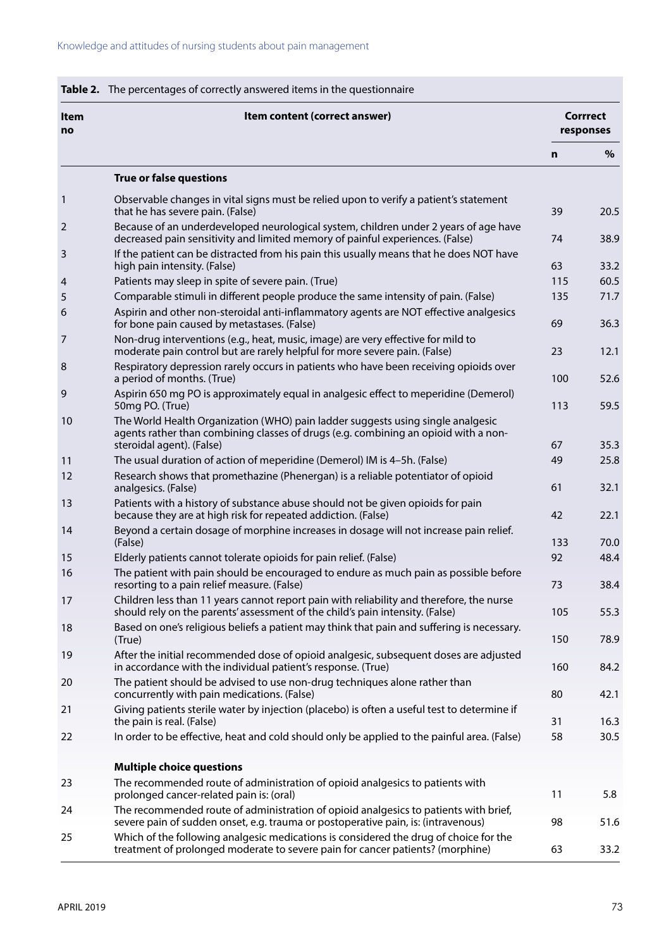| <b>Item</b><br>no | Item content (correct answer)                                                                                                                                                                       |     | <b>Corrrect</b><br>responses |  |
|-------------------|-----------------------------------------------------------------------------------------------------------------------------------------------------------------------------------------------------|-----|------------------------------|--|
|                   |                                                                                                                                                                                                     | n   | %                            |  |
|                   | <b>True or false questions</b>                                                                                                                                                                      |     |                              |  |
| 1                 | Observable changes in vital signs must be relied upon to verify a patient's statement<br>that he has severe pain. (False)                                                                           | 39  | 20.5                         |  |
| 2                 | Because of an underdeveloped neurological system, children under 2 years of age have<br>decreased pain sensitivity and limited memory of painful experiences. (False)                               | 74  | 38.9                         |  |
| 3                 | If the patient can be distracted from his pain this usually means that he does NOT have<br>high pain intensity. (False)                                                                             | 63  | 33.2                         |  |
| 4                 | Patients may sleep in spite of severe pain. (True)                                                                                                                                                  | 115 | 60.5                         |  |
| 5                 | Comparable stimuli in different people produce the same intensity of pain. (False)                                                                                                                  | 135 | 71.7                         |  |
| 6                 | Aspirin and other non-steroidal anti-inflammatory agents are NOT effective analgesics<br>for bone pain caused by metastases. (False)                                                                | 69  | 36.3                         |  |
| 7                 | Non-drug interventions (e.g., heat, music, image) are very effective for mild to<br>moderate pain control but are rarely helpful for more severe pain. (False)                                      | 23  | 12.1                         |  |
| 8                 | Respiratory depression rarely occurs in patients who have been receiving opioids over<br>a period of months. (True)                                                                                 | 100 | 52.6                         |  |
| 9                 | Aspirin 650 mg PO is approximately equal in analgesic effect to meperidine (Demerol)<br>50mg PO. (True)                                                                                             | 113 | 59.5                         |  |
| 10                | The World Health Organization (WHO) pain ladder suggests using single analgesic<br>agents rather than combining classes of drugs (e.g. combining an opioid with a non-<br>steroidal agent). (False) | 67  | 35.3                         |  |
| 11                | The usual duration of action of meperidine (Demerol) IM is 4-5h. (False)                                                                                                                            | 49  | 25.8                         |  |
| 12                | Research shows that promethazine (Phenergan) is a reliable potentiator of opioid<br>analgesics. (False)                                                                                             | 61  | 32.1                         |  |
| 13                | Patients with a history of substance abuse should not be given opioids for pain<br>because they are at high risk for repeated addiction. (False)                                                    | 42  | 22.1                         |  |
| 14                | Beyond a certain dosage of morphine increases in dosage will not increase pain relief.<br>(False)                                                                                                   | 133 | 70.0                         |  |
| 15                | Elderly patients cannot tolerate opioids for pain relief. (False)                                                                                                                                   | 92  | 48.4                         |  |
| 16                | The patient with pain should be encouraged to endure as much pain as possible before<br>resorting to a pain relief measure. (False)                                                                 | 73  | 38.4                         |  |
| 17                | Children less than 11 years cannot report pain with reliability and therefore, the nurse<br>should rely on the parents' assessment of the child's pain intensity. (False)                           | 105 | 55.3                         |  |
| 18                | Based on one's religious beliefs a patient may think that pain and suffering is necessary.<br>(True)                                                                                                | 150 | 78.9                         |  |
| 19                | After the initial recommended dose of opioid analgesic, subsequent doses are adjusted<br>in accordance with the individual patient's response. (True)                                               | 160 | 84.2                         |  |
| 20                | The patient should be advised to use non-drug techniques alone rather than<br>concurrently with pain medications. (False)                                                                           | 80  | 42.1                         |  |
| 21                | Giving patients sterile water by injection (placebo) is often a useful test to determine if<br>the pain is real. (False)                                                                            | 31  | 16.3                         |  |
| 22                | In order to be effective, heat and cold should only be applied to the painful area. (False)                                                                                                         | 58  | 30.5                         |  |
|                   | <b>Multiple choice questions</b>                                                                                                                                                                    |     |                              |  |
| 23                | The recommended route of administration of opioid analgesics to patients with<br>prolonged cancer-related pain is: (oral)                                                                           | 11  | 5.8                          |  |
| 24                | The recommended route of administration of opioid analgesics to patients with brief,<br>severe pain of sudden onset, e.g. trauma or postoperative pain, is: (intravenous)                           | 98  | 51.6                         |  |
| 25                | Which of the following analgesic medications is considered the drug of choice for the<br>treatment of prolonged moderate to severe pain for cancer patients? (morphine)                             | 63  | 33.2                         |  |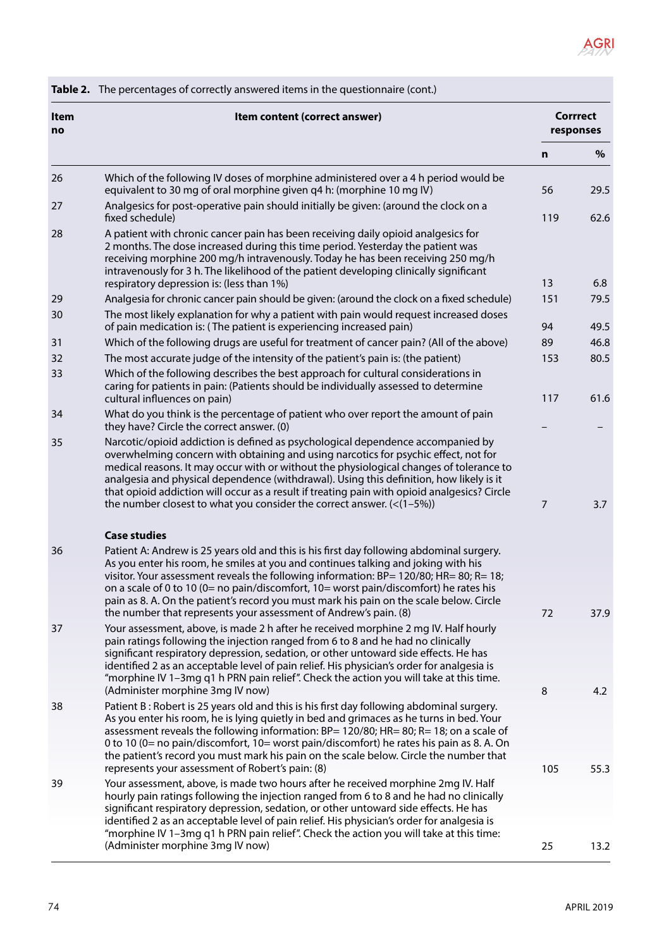# AGRI

|                   | Table 2. The percentages of correctly answered items in the questionnaire (cont.)                                                                                                                                                                                                                                                                                                                                                                                                                                       |                |                              |  |
|-------------------|-------------------------------------------------------------------------------------------------------------------------------------------------------------------------------------------------------------------------------------------------------------------------------------------------------------------------------------------------------------------------------------------------------------------------------------------------------------------------------------------------------------------------|----------------|------------------------------|--|
| <b>Item</b><br>no | Item content (correct answer)                                                                                                                                                                                                                                                                                                                                                                                                                                                                                           |                | <b>Corrrect</b><br>responses |  |
|                   |                                                                                                                                                                                                                                                                                                                                                                                                                                                                                                                         | n              | $\%$                         |  |
| 26                | Which of the following IV doses of morphine administered over a 4 h period would be<br>equivalent to 30 mg of oral morphine given q4 h: (morphine 10 mg IV)                                                                                                                                                                                                                                                                                                                                                             | 56             | 29.5                         |  |
| 27                | Analgesics for post-operative pain should initially be given: (around the clock on a<br>fixed schedule)                                                                                                                                                                                                                                                                                                                                                                                                                 | 119            | 62.6                         |  |
| 28                | A patient with chronic cancer pain has been receiving daily opioid analgesics for<br>2 months. The dose increased during this time period. Yesterday the patient was<br>receiving morphine 200 mg/h intravenously. Today he has been receiving 250 mg/h<br>intravenously for 3 h. The likelihood of the patient developing clinically significant<br>respiratory depression is: (less than 1%)                                                                                                                          | 13             | 6.8                          |  |
| 29                | Analgesia for chronic cancer pain should be given: (around the clock on a fixed schedule)                                                                                                                                                                                                                                                                                                                                                                                                                               | 151            | 79.5                         |  |
| 30                | The most likely explanation for why a patient with pain would request increased doses<br>of pain medication is: (The patient is experiencing increased pain)                                                                                                                                                                                                                                                                                                                                                            | 94             | 49.5                         |  |
| 31                | Which of the following drugs are useful for treatment of cancer pain? (All of the above)                                                                                                                                                                                                                                                                                                                                                                                                                                | 89             | 46.8                         |  |
| 32                | The most accurate judge of the intensity of the patient's pain is: (the patient)                                                                                                                                                                                                                                                                                                                                                                                                                                        | 153            | 80.5                         |  |
| 33                | Which of the following describes the best approach for cultural considerations in<br>caring for patients in pain: (Patients should be individually assessed to determine<br>cultural influences on pain)                                                                                                                                                                                                                                                                                                                | 117            | 61.6                         |  |
| 34                | What do you think is the percentage of patient who over report the amount of pain<br>they have? Circle the correct answer. (0)                                                                                                                                                                                                                                                                                                                                                                                          |                |                              |  |
| 35                | Narcotic/opioid addiction is defined as psychological dependence accompanied by<br>overwhelming concern with obtaining and using narcotics for psychic effect, not for<br>medical reasons. It may occur with or without the physiological changes of tolerance to<br>analgesia and physical dependence (withdrawal). Using this definition, how likely is it<br>that opioid addiction will occur as a result if treating pain with opioid analgesics? Circle                                                            |                |                              |  |
|                   | the number closest to what you consider the correct answer. $\left( \langle 1-5\% \rangle \right)$                                                                                                                                                                                                                                                                                                                                                                                                                      | $\overline{7}$ | 3.7                          |  |
|                   | <b>Case studies</b>                                                                                                                                                                                                                                                                                                                                                                                                                                                                                                     |                |                              |  |
| 36                | Patient A: Andrew is 25 years old and this is his first day following abdominal surgery.<br>As you enter his room, he smiles at you and continues talking and joking with his<br>visitor. Your assessment reveals the following information: $BP = 120/80$ ; $HR = 80$ ; $R = 18$ ;<br>on a scale of 0 to 10 (0= no pain/discomfort, 10= worst pain/discomfort) he rates his                                                                                                                                            |                |                              |  |
|                   | pain as 8. A. On the patient's record you must mark his pain on the scale below. Circle                                                                                                                                                                                                                                                                                                                                                                                                                                 |                |                              |  |
|                   | the number that represents your assessment of Andrew's pain. (8)                                                                                                                                                                                                                                                                                                                                                                                                                                                        | 72             | 37.9                         |  |
| 37                | Your assessment, above, is made 2 h after he received morphine 2 mg IV. Half hourly<br>pain ratings following the injection ranged from 6 to 8 and he had no clinically<br>significant respiratory depression, sedation, or other untoward side effects. He has                                                                                                                                                                                                                                                         |                |                              |  |
|                   | identified 2 as an acceptable level of pain relief. His physician's order for analgesia is<br>"morphine IV 1-3mg q1 h PRN pain relief". Check the action you will take at this time.<br>(Administer morphine 3mg IV now)                                                                                                                                                                                                                                                                                                | 8              | 4.2                          |  |
| 38                | Patient B: Robert is 25 years old and this is his first day following abdominal surgery.<br>As you enter his room, he is lying quietly in bed and grimaces as he turns in bed. Your<br>assessment reveals the following information: BP= 120/80; HR= 80; R= 18; on a scale of<br>0 to 10 (0= no pain/discomfort, 10= worst pain/discomfort) he rates his pain as 8. A. On<br>the patient's record you must mark his pain on the scale below. Circle the number that<br>represents your assessment of Robert's pain: (8) | 105            | 55.3                         |  |
| 39                | Your assessment, above, is made two hours after he received morphine 2mg IV. Half<br>hourly pain ratings following the injection ranged from 6 to 8 and he had no clinically<br>significant respiratory depression, sedation, or other untoward side effects. He has<br>identified 2 as an acceptable level of pain relief. His physician's order for analgesia is                                                                                                                                                      |                |                              |  |
|                   | "morphine IV 1-3mg q1 h PRN pain relief". Check the action you will take at this time:<br>(Administer morphine 3mg IV now)                                                                                                                                                                                                                                                                                                                                                                                              | 25             | 13.2                         |  |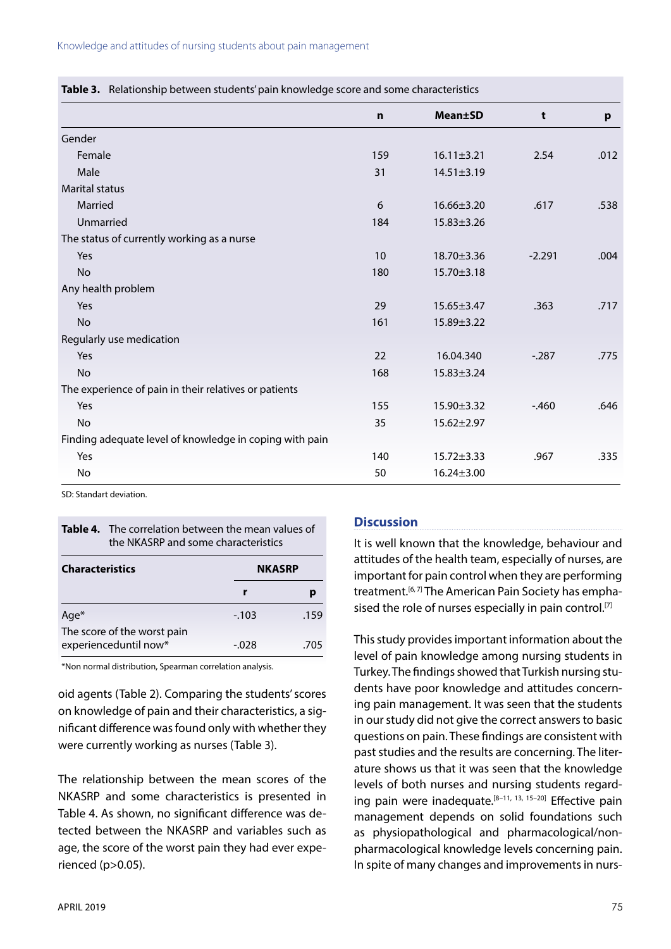|                                                         | $\mathbf n$ | <b>Mean±SD</b>   | t        | p    |
|---------------------------------------------------------|-------------|------------------|----------|------|
| Gender                                                  |             |                  |          |      |
| Female                                                  | 159         | $16.11 \pm 3.21$ | 2.54     | .012 |
| Male                                                    | 31          | $14.51 \pm 3.19$ |          |      |
| <b>Marital status</b>                                   |             |                  |          |      |
| Married                                                 | 6           | 16.66±3.20       | .617     | .538 |
| Unmarried                                               | 184         | $15.83 \pm 3.26$ |          |      |
| The status of currently working as a nurse              |             |                  |          |      |
| Yes                                                     | 10          | 18.70±3.36       | $-2.291$ | .004 |
| <b>No</b>                                               | 180         | 15.70±3.18       |          |      |
| Any health problem                                      |             |                  |          |      |
| Yes                                                     | 29          | $15.65 \pm 3.47$ | .363     | .717 |
| <b>No</b>                                               | 161         | $15.89 \pm 3.22$ |          |      |
| Regularly use medication                                |             |                  |          |      |
| Yes                                                     | 22          | 16.04.340        | $-287$   | .775 |
| <b>No</b>                                               | 168         | $15.83 \pm 3.24$ |          |      |
| The experience of pain in their relatives or patients   |             |                  |          |      |
| Yes                                                     | 155         | 15.90±3.32       | $-460$   | .646 |
| <b>No</b>                                               | 35          | $15.62 \pm 2.97$ |          |      |
| Finding adequate level of knowledge in coping with pain |             |                  |          |      |
| Yes                                                     | 140         | $15.72 \pm 3.33$ | .967     | .335 |
| <b>No</b>                                               | 50          | $16.24 \pm 3.00$ |          |      |

**Table 3.** Relationship between students' pain knowledge score and some characteristics

SD: Standart deviation.

| Table 4. The correlation between the mean values of<br>the NKASRP and some characteristics |  |  |               |
|--------------------------------------------------------------------------------------------|--|--|---------------|
| <b>Characteristics</b>                                                                     |  |  | <b>NKASRP</b> |
|                                                                                            |  |  |               |

| Age <sup>*</sup>            | $-.103$ | .159 |
|-----------------------------|---------|------|
| The score of the worst pain |         |      |
| experienceduntil now*       | $-.028$ | .705 |

\*Non normal distribution, Spearman correlation analysis.

oid agents (Table 2). Comparing the students' scores on knowledge of pain and their characteristics, a significant difference was found only with whether they were currently working as nurses (Table 3).

The relationship between the mean scores of the NKASRP and some characteristics is presented in Table 4. As shown, no significant difference was detected between the NKASRP and variables such as age, the score of the worst pain they had ever experienced (p>0.05).

### **Discussion**

It is well known that the knowledge, behaviour and attitudes of the health team, especially of nurses, are important for pain control when they are performing treatment.<sup>[6, 7]</sup> The American Pain Society has emphasised the role of nurses especially in pain control.<sup>[7]</sup>

This study provides important information about the level of pain knowledge among nursing students in Turkey. The findings showed that Turkish nursing students have poor knowledge and attitudes concerning pain management. It was seen that the students in our study did not give the correct answers to basic questions on pain. These findings are consistent with past studies and the results are concerning. The literature shows us that it was seen that the knowledge levels of both nurses and nursing students regarding pain were inadequate.<sup>[8-11, 13, 15-20]</sup> Effective pain management depends on solid foundations such as physiopathological and pharmacological/nonpharmacological knowledge levels concerning pain. In spite of many changes and improvements in nurs-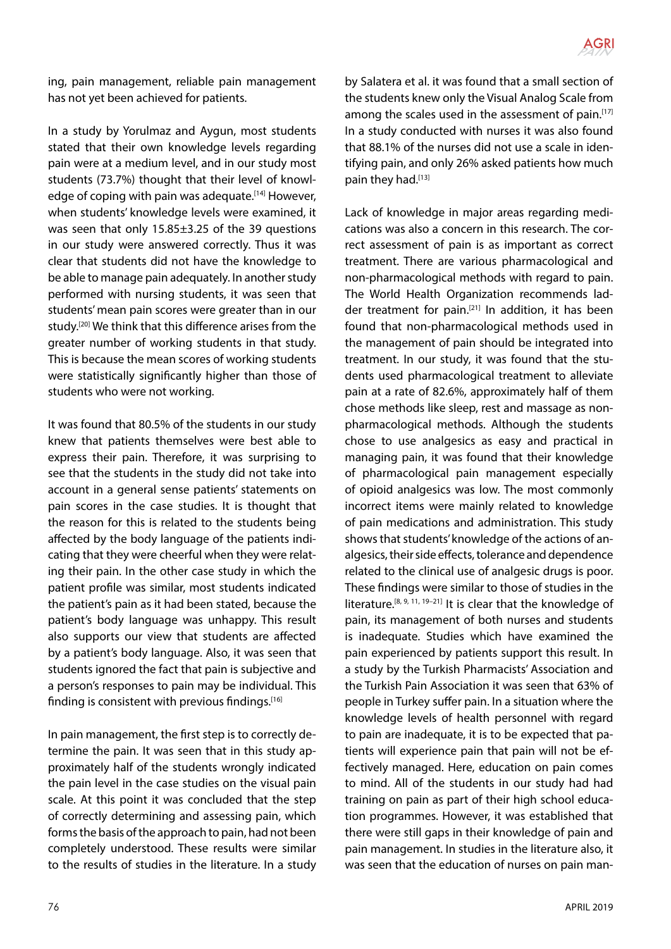

ing, pain management, reliable pain management has not yet been achieved for patients.

In a study by Yorulmaz and Aygun, most students stated that their own knowledge levels regarding pain were at a medium level, and in our study most students (73.7%) thought that their level of knowledge of coping with pain was adequate.<sup>[14]</sup> However, when students' knowledge levels were examined, it was seen that only 15.85±3.25 of the 39 questions in our study were answered correctly. Thus it was clear that students did not have the knowledge to be able to manage pain adequately. In another study performed with nursing students, it was seen that students' mean pain scores were greater than in our study.<sup>[20]</sup> We think that this difference arises from the greater number of working students in that study. This is because the mean scores of working students were statistically significantly higher than those of students who were not working.

It was found that 80.5% of the students in our study knew that patients themselves were best able to express their pain. Therefore, it was surprising to see that the students in the study did not take into account in a general sense patients' statements on pain scores in the case studies. It is thought that the reason for this is related to the students being affected by the body language of the patients indicating that they were cheerful when they were relating their pain. In the other case study in which the patient profile was similar, most students indicated the patient's pain as it had been stated, because the patient's body language was unhappy. This result also supports our view that students are affected by a patient's body language. Also, it was seen that students ignored the fact that pain is subjective and a person's responses to pain may be individual. This finding is consistent with previous findings.<sup>[16]</sup>

In pain management, the first step is to correctly determine the pain. It was seen that in this study approximately half of the students wrongly indicated the pain level in the case studies on the visual pain scale. At this point it was concluded that the step of correctly determining and assessing pain, which forms the basis of the approach to pain, had not been completely understood. These results were similar to the results of studies in the literature. In a study by Salatera et al. it was found that a small section of the students knew only the Visual Analog Scale from among the scales used in the assessment of pain.<sup>[17]</sup> In a study conducted with nurses it was also found that 88.1% of the nurses did not use a scale in identifying pain, and only 26% asked patients how much pain they had.[13]

Lack of knowledge in major areas regarding medications was also a concern in this research. The correct assessment of pain is as important as correct treatment. There are various pharmacological and non-pharmacological methods with regard to pain. The World Health Organization recommends ladder treatment for pain.[21] In addition, it has been found that non-pharmacological methods used in the management of pain should be integrated into treatment. In our study, it was found that the students used pharmacological treatment to alleviate pain at a rate of 82.6%, approximately half of them chose methods like sleep, rest and massage as nonpharmacological methods. Although the students chose to use analgesics as easy and practical in managing pain, it was found that their knowledge of pharmacological pain management especially of opioid analgesics was low. The most commonly incorrect items were mainly related to knowledge of pain medications and administration. This study shows that students' knowledge of the actions of analgesics, their side effects, tolerance and dependence related to the clinical use of analgesic drugs is poor. These findings were similar to those of studies in the literature.<sup>[8, 9, 11, 19-21]</sup> It is clear that the knowledge of pain, its management of both nurses and students is inadequate. Studies which have examined the pain experienced by patients support this result. In a study by the Turkish Pharmacists' Association and the Turkish Pain Association it was seen that 63% of people in Turkey suffer pain. In a situation where the knowledge levels of health personnel with regard to pain are inadequate, it is to be expected that patients will experience pain that pain will not be effectively managed. Here, education on pain comes to mind. All of the students in our study had had training on pain as part of their high school education programmes. However, it was established that there were still gaps in their knowledge of pain and pain management. In studies in the literature also, it was seen that the education of nurses on pain man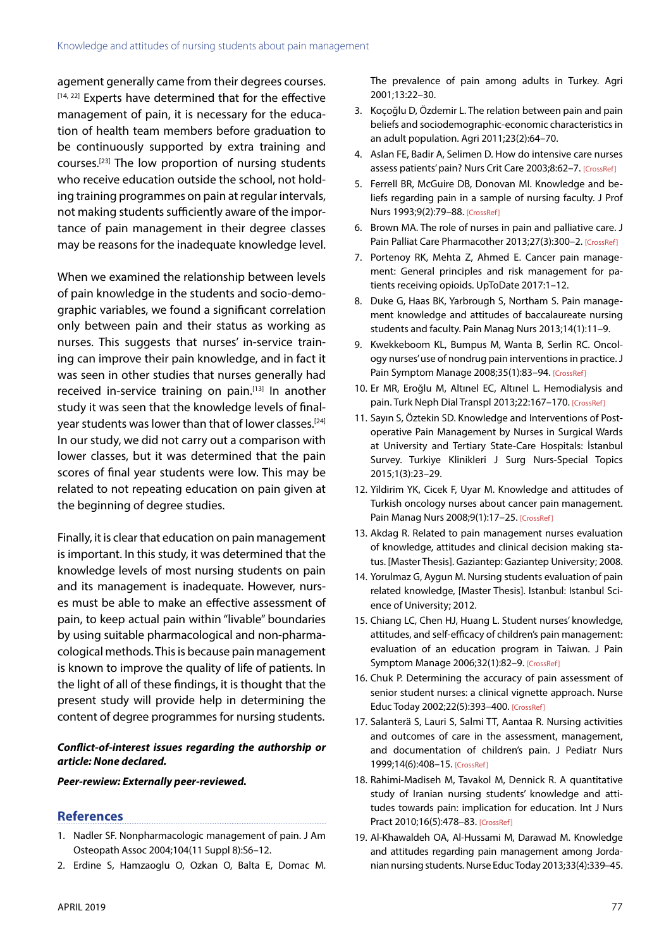agement generally came from their degrees courses. [14, 22] Experts have determined that for the effective management of pain, it is necessary for the education of health team members before graduation to be continuously supported by extra training and courses.[23] The low proportion of nursing students who receive education outside the school, not holding training programmes on pain at regular intervals, not making students sufficiently aware of the importance of pain management in their degree classes may be reasons for the inadequate knowledge level.

When we examined the relationship between levels of pain knowledge in the students and socio-demographic variables, we found a significant correlation only between pain and their status as working as nurses. This suggests that nurses' in-service training can improve their pain knowledge, and in fact it was seen in other studies that nurses generally had received in-service training on pain.<sup>[13]</sup> In another study it was seen that the knowledge levels of finalyear students was lower than that of lower classes.<sup>[24]</sup> In our study, we did not carry out a comparison with lower classes, but it was determined that the pain scores of final year students were low. This may be related to not repeating education on pain given at the beginning of degree studies.

Finally, it is clear that education on pain management is important. In this study, it was determined that the knowledge levels of most nursing students on pain and its management is inadequate. However, nurses must be able to make an effective assessment of pain, to keep actual pain within "livable" boundaries by using suitable pharmacological and non-pharmacological methods. This is because pain management is known to improve the quality of life of patients. In the light of all of these findings, it is thought that the present study will provide help in determining the content of degree programmes for nursing students.

#### *Conflict-of-interest issues regarding the authorship or article: None declared.*

#### *Peer-rewiew: Externally peer-reviewed.*

#### **References**

- 1. Nadler SF. Nonpharmacologic management of pain. J Am Osteopath Assoc 2004;104(11 Suppl 8):S6–12.
- 2. Erdine S, Hamzaoglu O, Ozkan O, Balta E, Domac M.

The prevalence of pain among adults in Turkey. Agri 2001;13:22–30.

- 3. Koçoğlu D, Özdemir L. The relation between pain and pain beliefs and sociodemographic-economic characteristics in an adult population. Agri 2011;23(2):64–70.
- 4. Aslan FE, Badir A, Selimen D. How do intensive care nurses assess patients' pain? Nurs Crit Care 2003;8:6[2–7. \[CrossRef\]](https://doi.org/10.1046/j.1478-5153.2003.00006.x)
- 5. Ferrell BR, McGuire DB, Donovan MI. Knowledge and beliefs regarding pain in a sample of nursing faculty. J Prof Nurs 1993;9(2)[:79–88. \[CrossRef\]](https://doi.org/10.1016/8755-7223(93)90023-6)
- 6. Brown MA. The role of nurses in pain and palliative care. J Pain Palliat Care Pharmacother 2013;27(3):300-2. [CrossRef]
- 7. Portenoy RK, Mehta Z, Ahmed E. Cancer pain management: General principles and risk management for patients receiving opioids. UpToDate 2017:1–12.
- 8. Duke G, Haas BK, Yarbrough S, Northam S. Pain management knowledge and attitudes of baccalaureate nursing students and facu[lty. Pain Manag Nurs 2013;14\(1\):11–9.](https://doi.org/10.1016/j.pmn.2010.03.006)
- 9. Kwekkeboom KL, Bumpus M, Wanta B, Serlin RC. Oncology nurses' use of nondrug pain interventions in practice. J Pain Symptom Manage 2008;35(1):83-9[4. \[CrossRef\]](https://doi.org/10.1016/j.jpainsymman.2007.02.037)
- 10. Er MR, Eroğlu M, Altınel EC, Altınel L. Hemodialysis and pain. Turk Neph Dial Transpl 2013;22:167-17[0. \[CrossRef\]](https://doi.org/10.5262/tndt.2013.1002.06)
- 11. Sayın S, Öztekin SD. Knowledge and Interventions of Postoperative Pain Management by Nurses in Surgical Wards at University and Tertiary State-Care Hospitals: İstanbul Survey. Turkiye Klinikleri J Surg Nurs-Special Topics 2015;1(3):23–29.
- 12. Yildirim YK, Cicek F, Uyar M. Knowledge and attitudes of Turkish oncology nurses about cancer pain management. Pain Manag Nurs 2008;9(1):17-[25. \[CrossRef\]](https://doi.org/10.1016/j.pmn.2007.09.002)
- 13. Akdag R. Related to pain management nurses evaluation of knowledge, attitudes and clinical decision making status. [Master Thesis]. Gaziantep: Gaziantep University; 2008.
- 14. Yorulmaz G, Aygun M. Nursing students evaluation of pain related knowledge, [Master Thesis]. Istanbul: Istanbul Science of University; 2012.
- 15. Chiang LC, Chen HJ, Huang L. Student nurses' knowledge, attitudes, and self-efficacy of children's pain management: evaluation of an education program in Taiwan. J Pain Symptom Manage 2006;32(1):82–[9. \[CrossRef\]](https://doi.org/10.1016/j.jpainsymman.2006.01.011)
- 16. Chuk P. Determining the accuracy of pain assessment of senior student nurses: a clinical vignette approach. Nurse Educ Today 2002;22(5):393–40[0. \[CrossRef\]](https://doi.org/10.1054/nedt.2001.0734)
- 17. Salanterä S, Lauri S, Salmi TT, Aantaa R. Nursing activities and outcomes of care in the assessment, management, and documentation of children's pain. J Pediatr Nurs 1999;14(6):408–15. [\[CrossRef\]](https://doi.org/10.1016/S0882-5963(99)80074-8)
- 18. Rahimi-Madiseh M, Tavakol M, Dennick R. A quantitative study of Iranian nursing students' knowledge and attitudes towards pain: implication for education. Int J Nurs Pract 2010;16(5):478-83. [CrossRef]
- 19. Al-Khawaldeh OA, Al-Hussami M, Darawad M. Knowledge and attitudes regarding pain management among Jordanian nursing stude[nts. Nurse Educ Today 2013;33\(4\):339–45.](https://doi.org/10.1016/j.nedt.2013.01.006)